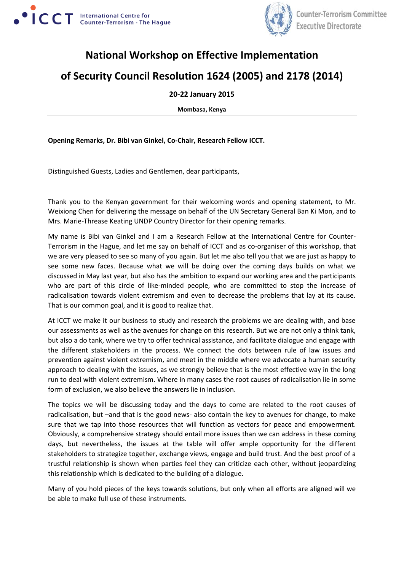



## **National Workshop on Effective Implementation**

## **of Security Council Resolution 1624 (2005) and 2178 (2014)**

## **20-22 January 2015**

**Mombasa, Kenya**

**Opening Remarks, Dr. Bibi van Ginkel, Co-Chair, Research Fellow ICCT.**

Distinguished Guests, Ladies and Gentlemen, dear participants,

Thank you to the Kenyan government for their welcoming words and opening statement, to Mr. Weixiong Chen for delivering the message on behalf of the UN Secretary General Ban Ki Mon, and to Mrs. Marie-Threase Keating UNDP Country Director for their opening remarks.

My name is Bibi van Ginkel and I am a Research Fellow at the International Centre for Counter-Terrorism in the Hague, and let me say on behalf of ICCT and as co-organiser of this workshop, that we are very pleased to see so many of you again. But let me also tell you that we are just as happy to see some new faces. Because what we will be doing over the coming days builds on what we discussed in May last year, but also has the ambition to expand our working area and the participants who are part of this circle of like-minded people, who are committed to stop the increase of radicalisation towards violent extremism and even to decrease the problems that lay at its cause. That is our common goal, and it is good to realize that.

At ICCT we make it our business to study and research the problems we are dealing with, and base our assessments as well as the avenues for change on this research. But we are not only a think tank, but also a do tank, where we try to offer technical assistance, and facilitate dialogue and engage with the different stakeholders in the process. We connect the dots between rule of law issues and prevention against violent extremism, and meet in the middle where we advocate a human security approach to dealing with the issues, as we strongly believe that is the most effective way in the long run to deal with violent extremism. Where in many cases the root causes of radicalisation lie in some form of exclusion, we also believe the answers lie in inclusion.

The topics we will be discussing today and the days to come are related to the root causes of radicalisation, but –and that is the good news- also contain the key to avenues for change, to make sure that we tap into those resources that will function as vectors for peace and empowerment. Obviously, a comprehensive strategy should entail more issues than we can address in these coming days, but nevertheless, the issues at the table will offer ample opportunity for the different stakeholders to strategize together, exchange views, engage and build trust. And the best proof of a trustful relationship is shown when parties feel they can criticize each other, without jeopardizing this relationship which is dedicated to the building of a dialogue.

Many of you hold pieces of the keys towards solutions, but only when all efforts are aligned will we be able to make full use of these instruments.